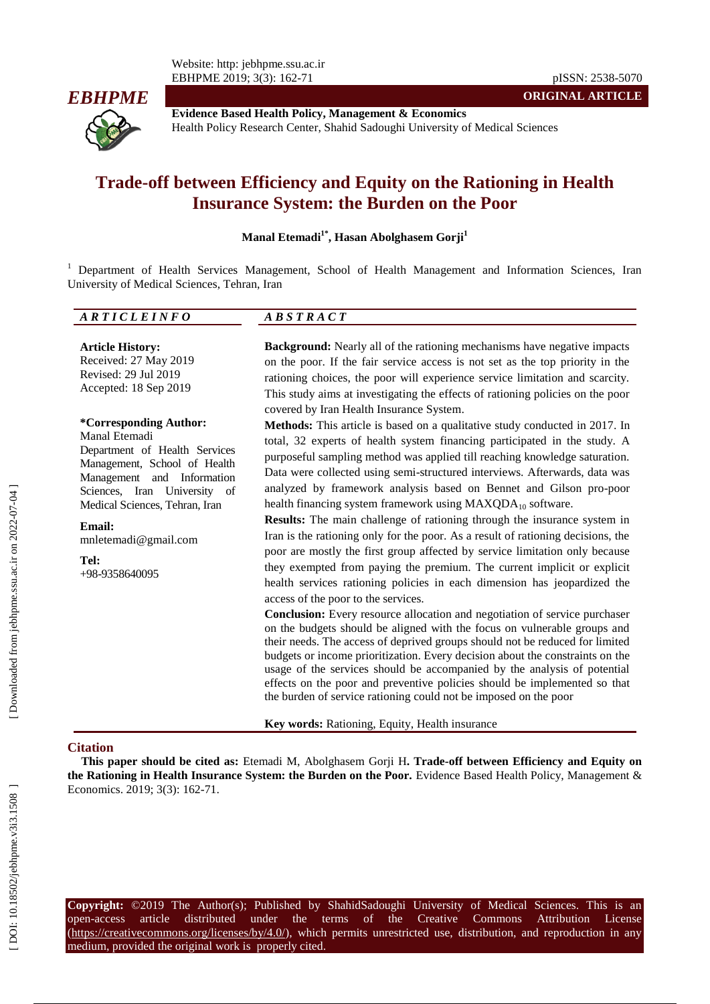Website: http: jebhpme.ssu.ac.ir EBHPME 2019; 3(3): 162 -71 pISSN: 2538 -5070



**Evidence Based Health Policy, Management & Economics** Health Policy Research Center, Shahid Sadoughi University of Medical Sciences

# **Trade -off between Efficiency and Equity on the Rationing in Health Insurance System: the Burden on the Poor**

**Manal Etemadi 1 \* , Hasan Abolghasem Gorji 1**

<sup>1</sup> Department of Health Services Management, School of Health Management and Information Sciences, Iran University of Medical Sciences, Tehran, Iran

#### *A R T I C L E I N F O A B S T R A C T*

**Article History:** Received: 27 May 201 9 Revised: 29 Jul 201 9 Accepted: 18 Sep 201 9

#### **\*Corresponding Author:** Manal Etemadi

Department of Health Services Management, School of Health Management and Information Sciences, Iran University of Medical Sciences, Tehran, Iran

**Email:** mnletemadi@gmail.com

**Tel:** +98 -9358640095 **Background:** Nearly all of the rationing mechanisms have negative impacts on the poor. If the fair service access is not set as the top priority in the rationing choices, the poor will experience service limitation and scarcity. This study aims at investigating the effects of rationing policies on the poor covered by Iran Health Insurance System .

**ORIGINAL ARTICLE**

**Methods:** This article is based on a qualitative study conducted in 2017. In total, 32 experts of health system financing participated in the study. A purposeful sampling method was applied till reaching knowledge saturation. Data were collected using semi -structured interviews. Afterwards, data was analyzed by framework analysis based on Bennet and Gilson pro -poor health financing system framework using  $MAXQDA_{10}$  software.

**Results:** The main challenge of rationing through the insurance system in Iran is the rationing only for the poor. As a result of rationing decisions, the poor are mostly the first group affected by service limitation only because they exempted from paying the premium. The current implicit or explicit health services rationing policies in each dimension has jeopardized the access of the poor to the services.

**Conclusion:** Every resource allocation and negotiation of service purchaser on the budgets should be aligned with the focus on vulnerable groups and their needs. The access of deprived groups should not be reduced for limited budgets or income prioritization. Every decision about the constraints on the usage of the services should be accompanied by the analysis of potential effects on the poor and preventive policies should be implemented so that the burden of service rationing could not be imposed on the poor

**Key words:** Rationing, Equity, Health insurance

#### **Citation**

**This paper should be cited as:** Etemadi M, Abolghasem Gorji H**. Trade -off between Efficiency and Equity on the Rationing in Health Insurance System: the Burden on the Poor.** Evidence Based Health Policy, Management & Economics. 2019; 3(3): 162-71.

**Copyright:** ©2019 The Author(s); Published by ShahidSadoughi University of Medical Sciences. This is an open-access -access article distributed under the terms of the Creative Commons Attribution License  $(\text{https://creativecommons.org/licenses/by/4.0/">https://creativecommons.org/licenses/by/4.0/$ ), which permits unrestricted use, distribution, and reproduction in anymedium, provided the original work is properly cited.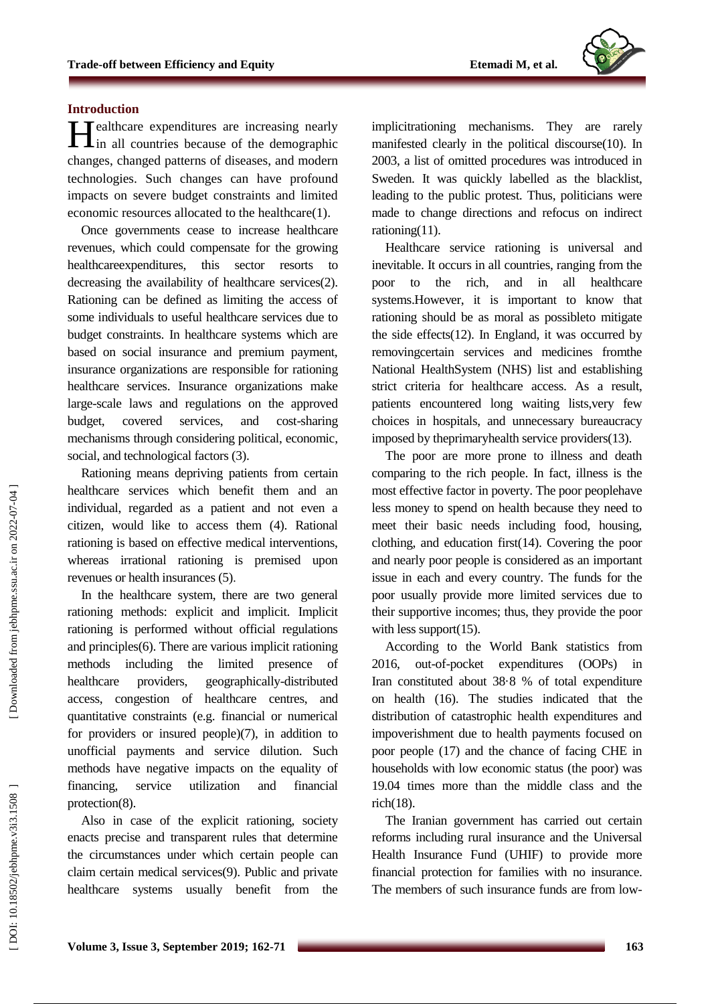

#### **Introduction**

Healthcare expenditures are increasing nearly<br>in all countries because of the demographic  $\mathbf{I}$  in all countries because of the demographic changes, changed patterns of diseases, and modern technologies. Such changes can have profound impacts on severe budget constraints and limited economic resources allocated to the healthcare(1) .

Once governments cease to increase healthcare revenues, which could compensate for the growing healthcareexpenditures, this sector resorts to decreasing the availability of healthcare services(2). Rationing can be defined as limiting the access of some individuals to useful healthcare services due to budget constraints. In healthcare systems which are based on social insurance and premium payment, insurance organizations are responsible for rationing healthcare services. Insurance organizations make large -scale laws and regulations on the approved budget, covered services, and cost-sharing mechanisms through considering political, economic, social, and technological factors (3).

Rationing means depriving patients from certain healthcare services which benefit them and an individual, regarded as a patient and not even a citizen, would like to access them (4). Rational rationing is based on effective medical interventions, whereas irrational rationing is premised upon revenues or health insurances (5) .

In the healthcare system, there are two general rationing methods: explicit and implicit. Implicit rationing is performed without official regulations and principles(6). There are various implicit rationing methods including the limited presence of healthcare providers, geographically -distributed access, congestion of healthcare centre s, and quantitative constraints (e.g. financial or numerical for providers or insured people)(7), in addition to unofficial payments and service dilution. Such methods have negative impacts on the equality of financing, service utilization and financial protection(8).

Also in case of the explicit rationing, society enacts precise and transparent rules that determine the circumstances under which certain people can claim certain medical services(9). Public and private healthcare systems usually benefit from the implicitrationing mechanisms. They are rarely manifested clearly in the political discourse(10). In 2003, a list of omitted procedures was introduced in Sweden. It was quickly labelled as the blacklist, leading to the public protest. Thus, politicians were made to change directions and re focus on indirect rationing(11) .

Healthcare service rationing is universal and inevitable. It occurs in all countries, ranging from the poor to the rich, and in all healthcare systems .However, it is important to know that rationing should be as moral as possibleto mitigate the side effects(12). In England, it was occurred by removingcertain services and medicines fromthe National HealthSystem (NHS) list and establishing strict criteria for healthcare access. As a result, patients encountered long waiting lists , very few choices in hospitals, and unnecessary bureaucracy imposed by th eprimaryhealth service providers(13) .

The poor are more prone to illness and death comparing to the rich people. In fact, illness is the most effective factor in poverty. The poor peoplehave less money to spend on health because they need to meet their basic needs including food, housing, clothing, and education first(14). Covering the poor and nearly poor people is considered as an important issue in each and every country. The funds for the poor usually provide more limited services due to their supportive incomes; thus, they provide the poor with less support(15).

According to the World Bank statistics from 2016. out-of-pocket expenditures (OOPs) in Iran constituted about 38·8 % of total expenditure on health (16). The studies indicated that the distribution of catastrophic health expenditures and impoverishment due to health payments focused on poor people (17) and the chance of facing CHE in households with low economic status (the poor) was 19.04 times more than the middle class and the rich(18) .

The Iranian government has carried out certain reforms including rural insurance and the Universal Health Insurance Fund (UHIF) to provide more financial protection for families with no insurance. The members of such insurance funds are from low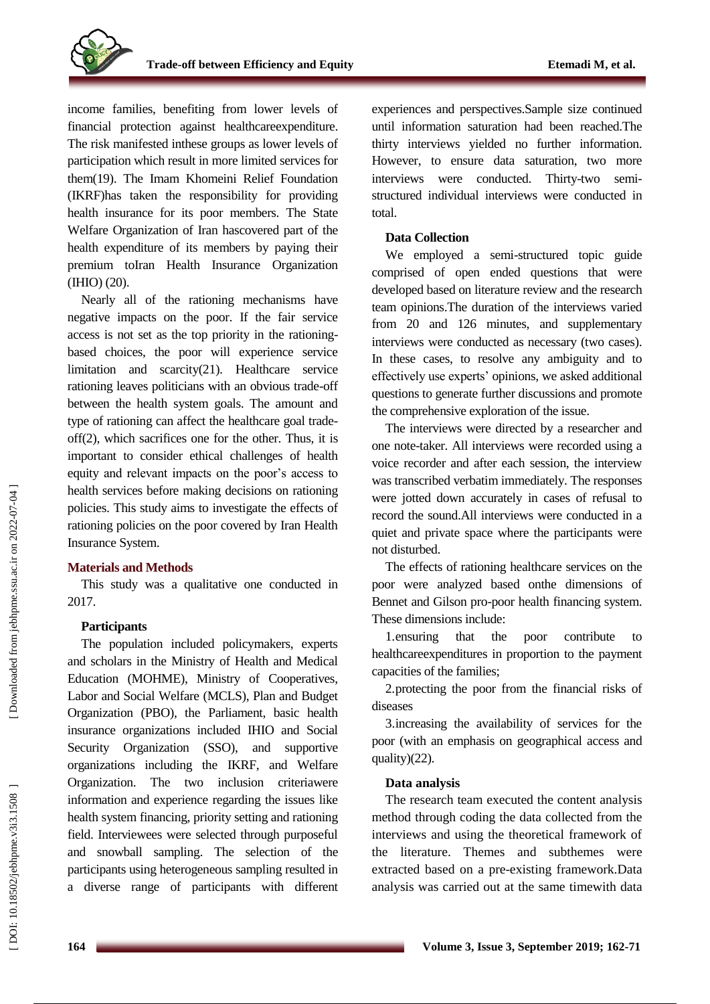income families, benefiting from lower levels of financial protection against healthcareexpenditure. The risk manifested inthese groups as lower levels of participation which result in more limited services for them(19). The Imam Khomeini Relief Foundation (IKRF)has taken the responsibility for providing health insurance for its poor members. The State Welfare Organization of Iran hascovered part of the health expenditure of its members by paying their premium toIran Health Insurance Organization (IHIO) (20) .

Nearly all of the rationing mechanisms have negative impacts on the poor. If the fair service access is not set as the top priority in the rationing based choices, the poor will experience service limitation and scarcity(21). Healthcare service rationing leaves politicians with an obvious trade -off between the health system goals. The amount and type of rationing can affect the healthcare goal trade off(2), which sacrifices one for the other. Thus, it is important to consider ethical challenges of health equity and relevant impacts on the poor's access to health services before making decisions on rationing policies. This study aim s to investigate the effects of rationing policies on the poor covered by Iran Health Insurance System.

### **Materials and Methods**

This study was a qualitative one conducted in 2017.

### **Participants**

The population included policymakers, experts and scholars in the Ministry of Health and Medical Education (MOHME), Ministry of Cooperatives, Labor and Social Welfare (MCLS), Plan and Budget Organization (PBO), the Parliament, basic health insurance organizations included IHIO and Social Security Organization (SSO), and supportive organizations including the IKRF , and Welfare Organization. The two inclusion criteriawere information and experience regarding the issues like health system financing, priority setting and rationing field. Interviewees were selected through purposeful and snowball sampling. The selection of the participants using heterogeneous sampling resulted in a diverse range of participants with different

experiences and perspectives.Sample size continued until information saturation had been reached .The thirty interviews yielded no further information. However, to ensure data saturation, two more interviews were conducted. -two semi structured individual interviews were conducted in total.

#### **Data Collection**

We employed a semi -structured topic guide comprised of open ended questions that were developed based on literature review and the research team opinions.The duration of the interviews varied from 20 and 126 minutes, and supplementary interviews were conducted as necessary (two cases). In these cases, to resolve any ambiguity and to effectively use experts' opinions, we asked additional questions to generate further discussions and promote the comprehensive exploration of the issue .

The interviews were directed by a researcher and one note -taker. All interviews were recorded using a voice recorder and after each session, the interview was transcribed verbatim immediately. The responses were jotted down accurately in cases of refusal to record the sound.All interviews were conducted in a quiet and private space where the participants were not disturbed. The effects of rationing healthcare services on the

poor were analyzed based onthe dimensions of Bennet and Gilson pro -poor health financing system. These dimensions include:

1.ensuring that the poor contribute to healthcareexpenditures in proportion to the payment capacities of the families;

2.protecting the poor from the financial risks of diseases

3.increasing the availability of services for the poor (with an emphasis on geographical access and quality)(22) .

#### **Data analysis**

The research team executed the content analysis method through coding the data collected from the interviews and using the theoretical framework of the literature . Themes and subthemes were extracted based on a pre -existing framework.Data analysis was carried out at the same timewith data

DOI: 10.18502/jebhpme.v3i3.1508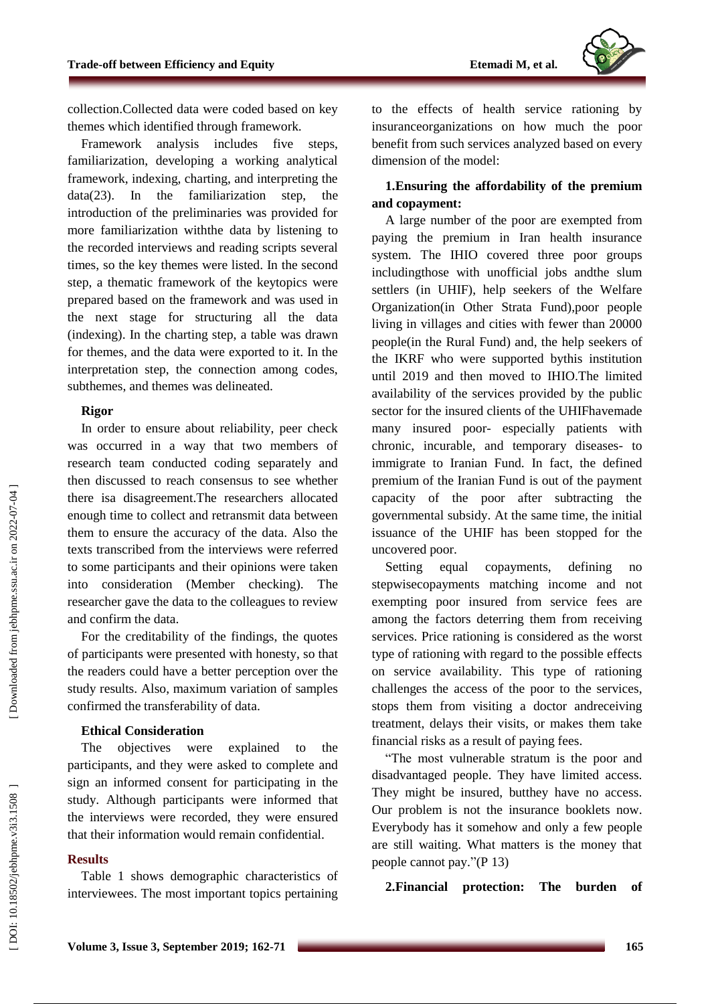

collection.Collected data were coded based on key themes which identified through framework.

Framework analysis includes five steps, familiarization, developing a working analytical framework, indexing, charting, and interpreting the data(23). In the familiarization step, the introduction of the preliminaries was provided for more familiarization withthe data by listening to the recorded interviews and reading scripts several times, so the key themes were listed. In the second step, a thematic framework of the keytopics were prepared based on the framework and was used in the next stage for structuring all the data (indexing). In the charting step, a table was drawn for themes, and the data were exported to it. In the interpretation step, the connection among codes, subthemes, and themes was delineated.

### **Rigor**

In order to ensure about reliability, peer check was occurred in a way that two members of research team conducted coding separately and then discussed to reach consensus to see whether there isa disagreement.The researchers allocated enough time to collect and retransmit data between them to ensure the accuracy of the data. Also the texts transcribed from the interviews were referred to some participants and their opinions were taken into consideration (Member checking). The researcher gave the data to the colleagues to review and confirm the data.

For the creditability of the findings, the quotes of participants were presented with honesty, so that the readers could have a better perception over the study results. Also, maximum variation of samples confirmed the transferability of data.

### **Ethical Consideration**

The objectives were explained to the participants, and they were asked to complete and sign an informed consent for participating in the study. Although participants were informed that the interviews were recorded, they were ensured that their information would remain confidential.

### **Results**

Table 1 shows demographic characteristics of interviewees. The most important topics pertaining to the effects of health service rationing by insuranceorganizations on how much the poor benefit from such services analyze d based on every dimension of the model :

## **1 .Ensuring the affordability of the premium and copayment :**

A large number of the poor are exempted from paying the premium in Iran health insurance system. The IHIO covered three poor groups includingthose with unofficial jobs andthe slum settlers (in UHI F ), help seekers of the Welfare Organization(in Other Strata Fund),poor people living in villages and cities with fewer than 20000 people (in the Rural Fund) and, the help seekers of the IKRF who were supported bythis institution until 2019 and then moved to IHIO . The limited availability of the services provided by the public sector for the insured clients of the UHIFhavemade many insured poor - especially patients with chronic, incurable, and temporary diseases - to immigrate to Iranian Fund. In fact, the defined premium of the Iranian Fund is out of the payment capacity of the poor after subtracting the governmental subsidy. At the same time, the initial issuance of the UHIF has been stopped for the uncovered poor.

Setting equal copayments, defining no stepwisecopayments matching income and not exempting poor insured from service fees are among the factors deterring them from receiving services. Price rationing is considered as the worst type of rationing with regard to the possible effects on service availability. This type of rationing challenges the access of the poor to the services , stops them from visiting a doctor andreceiving treatment, delays their visits, or makes them take financial risks as a result of paying fees .

"The most vulnerable stratum is the poor and disadvantaged people. They have limited access. They might be insured, butthey have no access. Our problem is not the insurance booklets now. Everybody has it somehow and only a few people are still waiting. What matters is the money that people cannot pay."(P 13)

**2 .Financial protection: The burden of**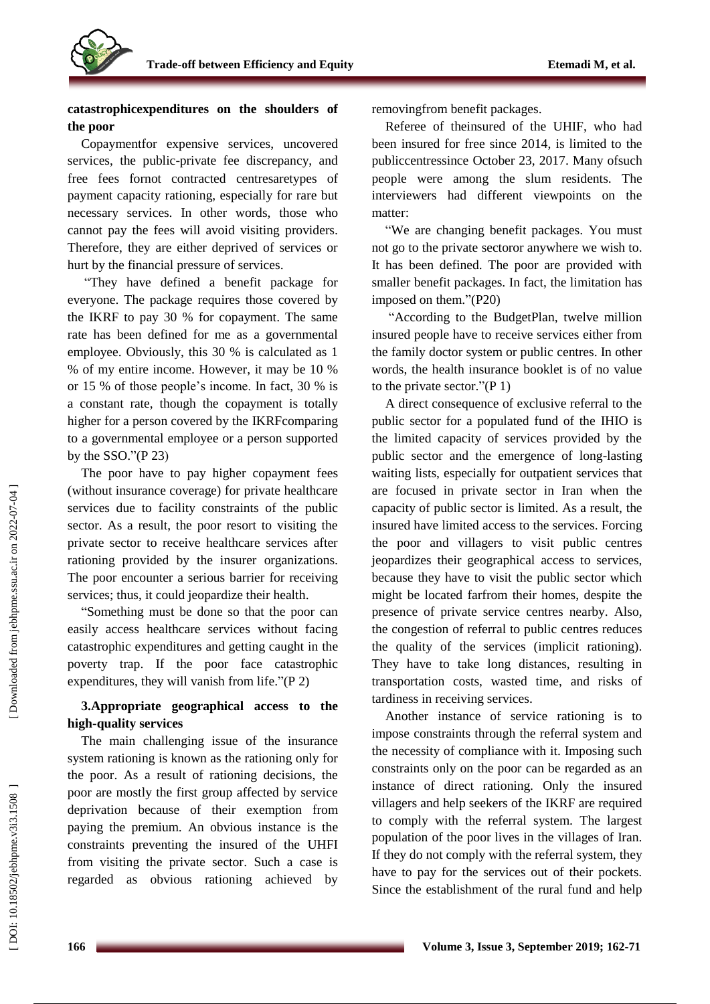

# **catastrophicexpenditures on the shoulders of the poor**

Copaymentfor expensive services, uncovered services, the public -private fee discrepancy, and free fees fornot contracted centresaretypes of payment capacity rationing, especially for rare but necessary services. In other words, those who cannot pay the fees will avoid visiting providers. Therefore, they are either deprived of services or hurt by the financial pressure of services.

"They have defined a benefit package for everyone. The package requires those covered by the IKRF to pay 30 % for copayment. The same rate has been defined for me as a governmental employee. Obviously, this 30 % is calculated as 1 % of my entire income. However, it may be 10 % or 15 % of those people's income. In fact, 30 % is a constant rate, though the copayment is totally higher for a person covered by the IKRFcomparing to a governmental employee or a person supported by the SSO." $(P 23)$ 

The poor have to pay higher copayment fees (without insurance coverage) for private healthcare services due to facility constraints of the public sector. As a result, the poor resort to visiting the private sector to receive healthcare services after rationing provided by the insurer organizations . The poor encounter a serious barrier for receiving services; thus, it could jeopardize their health .

"Something must be done so that the poor can easily access healthcare services without facing catastrophic expenditures and getting caught in the poverty trap. If the poor face catastrophic expenditures, they will vanish from life."(P 2)

# **3 .Appropriate geographical access to the high -quality services**

The main challenging issue of the insurance system rationing is known as the rationing only for the poor. As a result of rationing decisions, the poor are mostly the first group affected by service deprivation because of their exemption from paying the premium. An obvious instance is the constraints preventing the insured of the UHFI from visiting the private sector. Such a case is regarded as obvious rationing achieved by

removingfrom benefit packages. Referee of theinsured of the UHIF, who had been insured for free since 2014, is limited to the publiccentressince October 23, 2017. Many ofsuch people were among the slum residents. The interviewers had different viewpoints on the matter :

"We are changing benefit packages. You must not go to the private sectoror anywhere we wish to. It has been defined. The poor are provided with smaller benefit packages. In fact, the limitation has imposed on them."(P20)

"According to the BudgetPlan, twelve million insured people have to receive services either from the family doctor system or public centre s. In other words, the health insurance booklet is of no value to the private sector." $(P 1)$ 

A direct consequence of exclusive referral to the public sector for a populated fund of the IHIO is the limited capacity of services provided by the public sector and the emergence of long -lasting waiting lists, especially for outpatient services that are focused in private sector in Iran when the capacity of public sector is limited. As a result, the insured have limited access to the services. Forcing the poor and villagers to visit public centres jeopardizes their geographical access to services, because they have to visit the public sector which might be located farfrom their homes, despite the presence of private service centre s nearby. Also, the congestion of referral to public centre s reduces the quality of the services (implicit rationing). They have to take long distances, resulting in transportation costs, wasted time, and risks of tardiness in receiving services.

Another instance of service rationing is to impose constraints through the referral system and the necessity of compliance with it. Imposing such constraints only on the poor can be regarded as an instance of direct rationing. Only the insured villagers and help seekers of the IKRF are required to comply with the referral system. The largest population of the poor lives in the villages of Iran. If they do not comply with the referral system, they have to pay for the services out of their pockets. Since the establishment of the rural fund and help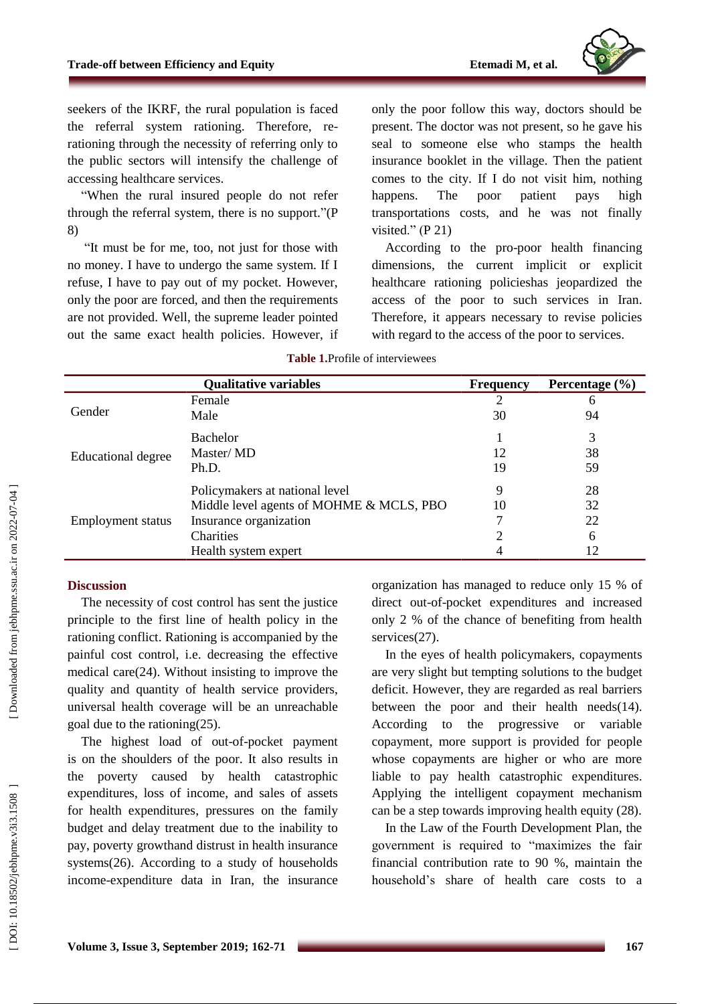

seekers of the IKRF , the rural population is faced the referral system rationing. Therefore, re rationing through the necessity of referring only to the public sectors will intensi fy the challenge of accessing healthcare services.

"When the rural insured people do not refer through the referral system, there is no support. " (P 8 )

" It must be for me, too, not just for those with no money. I have to undergo the same system. If I refuse, I have to pay out of my pocket. However, only the poor are forced, and then the requirements are not provided. Well, the supreme leader pointed out the same exact health policies. However, if

only the poor follow this way, doctors should be present. The doctor was not present, so he gave his seal to someone else who stamps the health insurance booklet in the village. Then the patient comes to the city. If I do not visit him, nothing happens. The poor patient pays high transportations costs, and he was not finally visited."  $(P 21)$ 

According to the pro -poor health financing dimensions, the current implicit or explicit healthcare rationing policieshas jeopardized the access of the poor to such services in Iran. Therefore, it appears necessary to revise policies with regard to the access of the poor to services.

|                           | <b>Qualitative variables</b>             | <b>Frequency</b> | Percentage $(\% )$ |
|---------------------------|------------------------------------------|------------------|--------------------|
| Gender                    | Female                                   | 2                | 6                  |
|                           | Male                                     | 30               | 94                 |
| <b>Educational degree</b> | <b>Bachelor</b>                          |                  | 3                  |
|                           | Master/MD                                | 12               | 38                 |
|                           | Ph.D.                                    | 19               | 59                 |
| <b>Employment status</b>  | Policymakers at national level           | 9                | 28                 |
|                           | Middle level agents of MOHME & MCLS, PBO | 10               | 32                 |
|                           | Insurance organization                   |                  | 22                 |
|                           | Charities                                |                  | 6                  |
|                           | Health system expert                     |                  | 12                 |

#### **Table 1 .**Profile of interviewees

# **Discussion**

The necessity of cost control has sent the justice principle to the first line of health policy in the rationing conflict. Rationing is accompanied by the painful cost control, i.e. decreasing the effective medical care(24). Without insisting to improve the quality and quantity of health service providers, universal health coverage will be an unreachable goal due to the rationing(25) .

The highest load of out -of -pocket payment is on the shoulders of the po or. It also results in the poverty caused by health catastrophic expenditures, loss of income, and sales of assets for health expenditures , pressures on the family budget and delay treatment due to the inability to pay , poverty growthand distrust in health insurance systems(26 ). According to a study of households income -expenditure data in Iran, the insurance organization has managed to reduce only 15 % of direct out -of-pocket expenditures and increased only 2 % of the chance of benefiting from health services(27).

In the eyes of health policymakers, copayments are very slight but tempting solutions to the budget deficit. However, they are regarded as real barriers between the poor and their health needs(14). According to the progressive or variable copayment, more support is provided for people whose copayments are higher or who are more liable to pay health catastrophic expenditures. Applying the intelligent copayment mechanism can be a step towards improving health equity (28) .

In the Law of the Fourth Development Plan, the government is required to "maximizes the fair financial contribution rate to 90 %, maintain the household's share of health care costs to a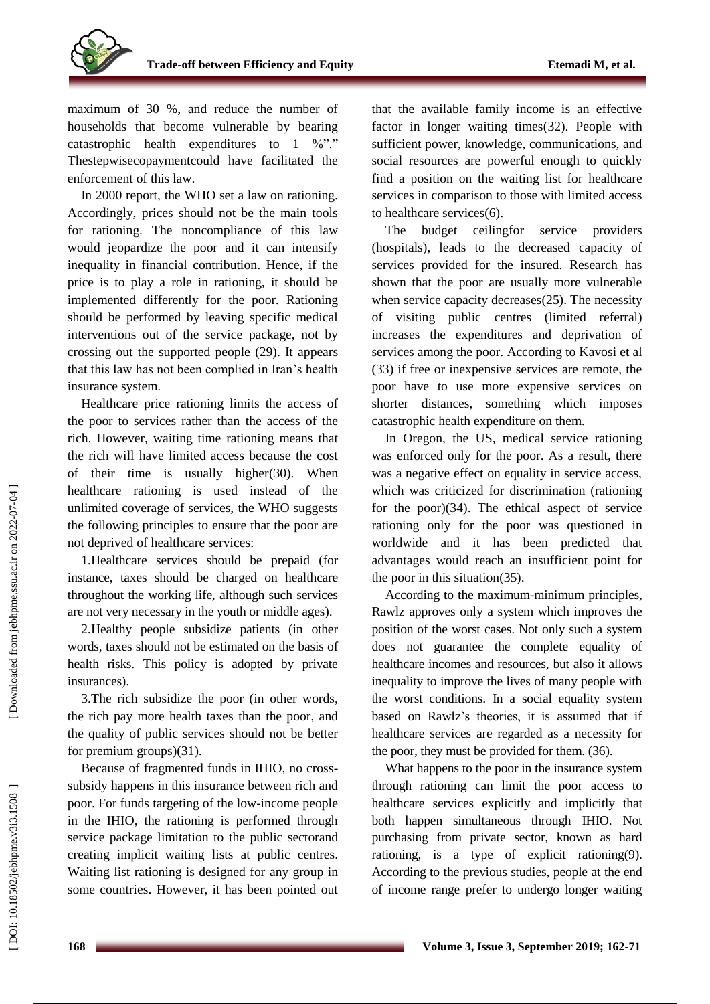maximum of 30 %, and reduce the number of households that become vulnerable by bearing catastrophic health expenditures to  $1 \sqrt[9]{n}$ ." Thestepwisecopayment could have facilitated the enforcement of this law.

In 2000 report, the WHO set a law on rationing. Accordingly, prices should not be the main tools for rationing. The noncompliance of this law would jeopardize the poor and it can intensify inequality in financial contribution. Hence, if the price is to play a role in rationing, it should be implemented differently for the poor. Rationing should be performed by leaving specific medical interventions out of the service package, not by crossing out the supported people (29). It appears that this law has not been complied in Iran's health insurance system.

Healthcare price rationing limits the access of the poor to services rather than the access of the rich. However, waiting time rationing means that the rich will have limited access because the cost of their time is usually higher(30). When healthcare rationing is used instead of the unlimited coverage of services, the WHO suggests the following principles to ensure that the poor are not deprived of healthcare services:

1.Healthcare services should be prepaid (for instance, taxes should be charged on healthcare throughout the working life, although such services are not very necessary in the youth or middle ages ) .

2 .Healthy people subsidize patients (in other words, taxes should not be estimated on the basis of health risks. This policy is adopted by private insurances ) .

3 .The rich subsidize the poor (in other words, the rich pay more health taxes than the poor, and the quality of public services should not be better for premium groups )(31) .

Because of fragmented funds in IHIO, no cross subsidy happens in this insurance between rich and poor. For funds targeting of the low -income people in the IHIO, the rationing is performed through service package limitation to the public sectorand creating implicit waiting lists at public centre s. Waiting list rationing is designed for any group in some countries. However, it has been pointed out

that the available family income is an effective factor in longer waiting times(32) . People with sufficient power, knowledge, communications, and social resources are powerful enough to quickly find a position on the waiting list for healthcare services in comparison to those with limited access to healthcare services(6). The budget ceilingfor service providers

(hospitals) , leads to the decreased capacity of services provided for the insured. Research has shown that the poor are usually more vulnerable when service capacity decreases(25). The necessity of visiting public centre s (limited referral) increases the expenditures and deprivation of services among the poor. According to Kavosi et al (33) if free or inexpensive services are remote, the poor have to use more expensive services on shorter distances, something which impose s catastrophic health expenditure on them.

In Oregon, the US, medical service rationing was enforced only for the poor. As a result, there was a negative effect on equality in service access, which was criticized for discrimination (rationing for the poor)(34). The ethical aspect of service rationing only for the poor was questioned in worldwide and it has been predicted that advantages would reach an insufficient point for the poor in this situation(35).

According to the maximum -minimum principles, Rawlz approves only a system which improves the position of the worst cases. Not only such a system does not guarantee the complete equality of healthcare incomes and resources, but also it allows inequality to improve the lives of many people with the worst conditions. In a social equality system based on Rawlz's theories, it is assumed that if healthcare services are regarded as a necessity for the poor, they must be provided for them. (36) .

What happens to the poor in the insurance system through rationing can limit the poor access to healthcare services explicitly and implicitly that both happen simultaneous through IHIO . Not purchasing from private sector, known as hard rationing , is a type of explicit rationing(9). According to the previous studies, people at the end of income range prefer to undergo longer waiting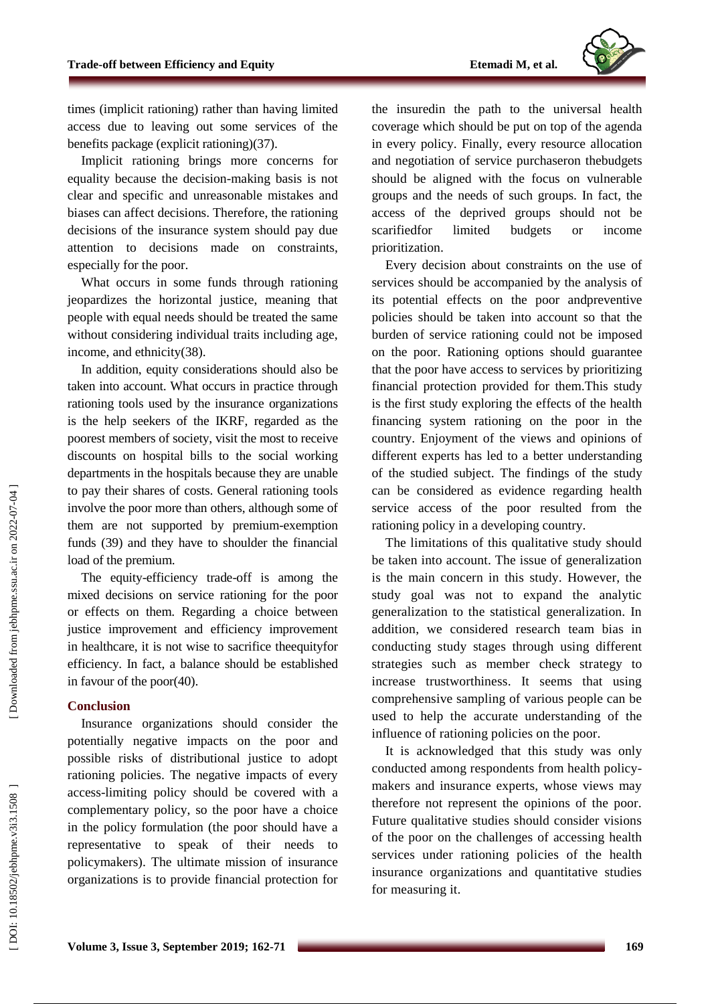

times (implicit rationing) rather than having limited access due to leaving out some services of the benefit s package (explicit rationing)(37).

Implicit rationing brings more concerns for equality because the decision -making basis is not clear and specific and unreasonable mistakes and biases can affect decisions. Therefore, the rationing decisions of the insurance system should pay due attention to decisions made on constraints, especially for the poor.

What occurs in some funds through rationing jeopardizes the horizontal justice, meaning that people with equal needs should be treated the same without considering individual traits including age, income, and ethnicity(38).

In addition, equity considerations should also be taken into account. What occurs in practice through rationing tools used by the insurance organizations is the help seekers of the IKRF, regarded as the poorest members of society, visit the most to receive discounts on hospital bills to the social working departments in the hospitals because they are unable to pay their shares of costs. General rationing tools involve the poor more than others, although some of them are not supported by premium -exemption funds (39 ) and they have to shoulder the financial load of the premium.

The equity -efficiency trade -off is among the mixed decisions on service rationing for the poor or effects on them. Regarding a choice between justice improvement and efficiency improvement in healthcare, it is not wise to sacrifice theequityfo r efficiency. In fact, a balance should be established in favour of the poor(40).

#### **Conclusion**

Insurance organizations should consider the potentially negative impacts on the poor and possible risks of distributional justice to adopt rationing policies. The negative impacts of every access -limiting policy should be covered with a complementary policy, so the poor have a choice in the policy formulation (the poor should have a representative to speak of their needs to policymakers). The ultimate mission of insurance organizations is to provide financial protection for

the insuredin the path to the universal health coverage which should be put on top of the agenda in every policy. Finally, every resource allocation and negotiation of service purchaseron thebudgets should be aligned with the focus on vulnerable groups and the needs of such groups. In fact, the access of the deprived groups should not be scarifiedfo limited budgets or income prioritization.

Every decision about constraints on the use of services should be accompanied by the analysis of its potential effects on the poor and preventive policies should be taken into account so that the burden of service rationing could not be imposed on the poor. Rationing options should guarantee that the poor have access to services by prioritizing financial protection provided for them .This study is the first study exploring the effects of the health financing system rationing on the poor in the country. Enjoyment of the views and opinions of different experts has led to a better understanding of the studied subject. The findings of the study can be considered as evidence regarding health service access of the poor resulted from the rationing policy in a developing country.

The limitations of this qualitative study should be taken into account. The issue of generalization is the main concern in this study. However, the study goal was not to expand the analytic generalization to the statistical generalization. In addition, we considered research team bias in conducting study stages through using different strategies such as member check strategy to increase trustworthiness. It seems that using comprehensive sampling of various people can be used to help the accurate understanding of the influence of rationing policies on the poor.

It is acknowledged that this study was only conducted among respondents from health policy makers and insurance experts, whose views may therefore not represent the opinions of the poor. Future qualitative studies should consider visions of the poor on the challenges of accessing health services under rationing policies of the health insurance organizations and quantitative studies for measuring it.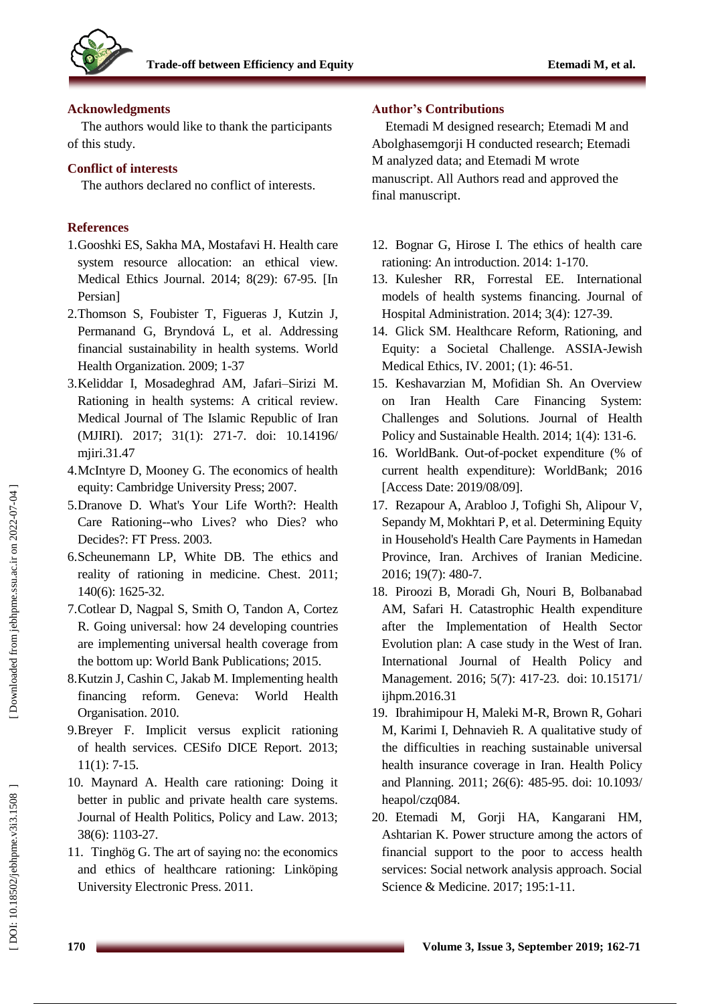

### **Acknowledgments**

The authors would like to thank the participants of this study.

# **Conflict of interest s**

The authors declare d no conflict of interests.

# **References**

- 1.Gooshki ES, Sakha MA, Mostafavi H. Health care system resource allocation: an ethical view. Medical Ethics Journal. 2014; 8(29): 67 -95. [In Persian]
- 2 .Thomson S, Foubister T, Figueras J, Kutzin J, Permanand G, Bryndová L, et al. Addressing financial sustainability in health systems. World Health Organization. 2009; 1 -37
- 3 .Keliddar I, Mosadeghrad AM, Jafari –Sirizi M. Rationing in health systems: A critical review. Medical Journal of The Islamic Republic of Iran (MJIRI). 2017; 31(1): 271 -7. [doi: 10.14196/](http://dx.doi.org/10.14196/mjiri.31.47) miiri.31.47
- 4 .McIntyre D, Mooney G. The economics of health equity: Cambridge University Press; 2007.
- 5 .Dranove D. What's Your Life Worth?: Health Care Rationing--who Lives? who Dies? who Decides?: FT Press. 2003.
- 6 .Scheunemann LP, White DB. The ethics and reality of rationing in medicine. Chest. 2011; 140(6): 1625 -32.
- 7 .Cotlear D, Nagpal S, Smith O, Tandon A, Cortez R. Going universal: how 24 developing countries are implementing universal health coverage from the bottom up: World Bank Publications; 2015.
- 8 .Kutzin J, Cashin C, Jakab M. Implementing health financing reform. Geneva: World Health Organisation. 2010.
- 9. Breyer F. Implicit versus explicit rationing of health services. CESifo DICE Report. 2013; 11(1): 7 -15.
- 10 . Maynard A. Health care rationing: Doing it better in public and private health care systems. Journal of Health Politics, Policy and Law. 2013; 38(6): 1103 -27.
- 11 . Tinghög G. The art of saying no: the economics and ethics of healthcare rationing: Linköping University Electronic Press. 2011.

# **Author's Contributions**

Etemadi M designed research; Etemadi M and Abolghasemgorji H conducted research; Etemadi M analyzed data; and Etemadi M wrote manuscript . All Authors read and approved the final manuscript.

- 12 . Bognar G, Hirose I. The ethics of health care rationing: An introduction. 2014: 1 -170.
- 13 . Kulesher RR, Forrestal EE. International models of health systems financing. Journal of Hospital Administration. 2014; 3(4): 127 -39.
- 14 . Glick SM. Healthcare Reform, Rationing, and Equity: a Societal Challenge. ASSIA -Jewish Medical Ethics, IV. 2001; (1): 46 -51.
- 15 . Keshavarzian M, Mofidian Sh. An Overview on Iran Health Care Financing System: Challenges and Solutions. Journal of Health Policy and Sustainable Health. 2014; 1(4): 131 -6.
- 16 . WorldBank. Out -of-pocket expenditure (% of current health expenditure): WorldBank; 2016 [Access Date: 2019/08/09].
- 17 . Rezapour A, Arabloo J, Tofighi Sh, Alipour V, Sepandy M, Mokhtari P, et al. Determining Equity in Household's Health Care Payments in Hamedan Province, Iran. Archives of Iranian Medicine. 2016; 19(7): 480 -7.
- 18 . Piroozi B, Moradi Gh, Nouri B, Bolbanabad AM, Safari H. Catastrophic Health expenditure after the Implementation of Health Sector Evolution plan: A case study in the West of Iran. International Journal of Health Policy and Management. 2016; 5(7): 417 -23. doi: [10.15171/](https://dx.doi.org/10.15171%2Fijhpm.2016.31) [ijhpm.2016.31](https://dx.doi.org/10.15171%2Fijhpm.2016.31)
- 19 . Ibrahimipour H, Maleki M -R, Brown R, Gohari M, Karimi I, Dehnavieh R. A qualitative study of the difficulties in reaching sustainable universal health insurance coverage in Iran. Health Policy and Planning. 2011; 26(6): 485 -95. doi: 10.1093/ heapol/czq084.
- 20 . Etemadi M, Gorji HA, Kangarani HM, Ashtarian K. Power structure among the actors of financial support to the poor to access health services: Social network analysis approach. Social Science & Medicine. 2017; 195:1 -11.